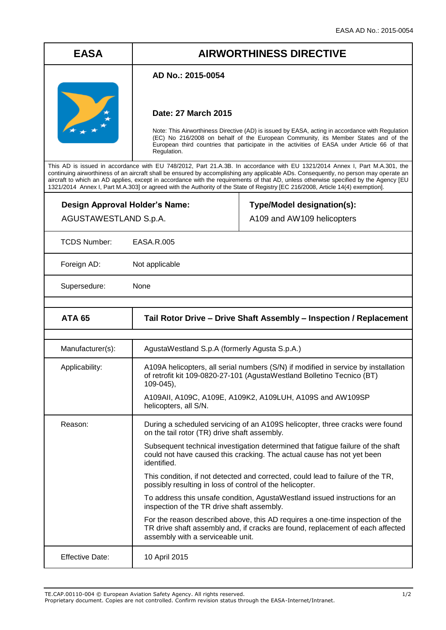# **EASA AIRWORTHINESS DIRECTIVE**

### **AD No.: 2015-0054**



### **Date: 27 March 2015**

Note: This Airworthiness Directive (AD) is issued by EASA, acting in accordance with Regulation (EC) No 216/2008 on behalf of the European Community, its Member States and of the European third countries that participate in the activities of EASA under Article 66 of that Regulation.

This AD is issued in accordance with EU 748/2012, Part 21.A.3B. In accordance with EU 1321/2014 Annex I, Part M.A.301, the continuing airworthiness of an aircraft shall be ensured by accomplishing any applicable ADs. Consequently, no person may operate an aircraft to which an AD applies, except in accordance with the requirements of that AD, unless otherwise specified by the Agency [EU 1321/2014 Annex I, Part M.A.303] or agreed with the Authority of the State of Registry [EC 216/2008, Article 14(4) exemption].

| Design Approval Holder's Name: |
|--------------------------------|
| AGUSTAWESTLAND S.p.A.          |

## **Type/Model designation(s):** A109 and AW109 helicopters

TCDS Number: EASA.R.005

Foreign AD: Not applicable

Supersedure: None

| <b>ATA 65</b>          | Tail Rotor Drive – Drive Shaft Assembly – Inspection / Replacement                                                                                                                                   |
|------------------------|------------------------------------------------------------------------------------------------------------------------------------------------------------------------------------------------------|
|                        |                                                                                                                                                                                                      |
| Manufacturer(s):       | AgustaWestland S.p.A (formerly Agusta S.p.A.)                                                                                                                                                        |
| Applicability:         | A109A helicopters, all serial numbers (S/N) if modified in service by installation<br>of retrofit kit 109-0820-27-101 (AgustaWestland Bolletino Tecnico (BT)<br>109-045),                            |
|                        | A109AII, A109C, A109E, A109K2, A109LUH, A109S and AW109SP<br>helicopters, all S/N.                                                                                                                   |
| Reason:                | During a scheduled servicing of an A109S helicopter, three cracks were found<br>on the tail rotor (TR) drive shaft assembly.                                                                         |
|                        | Subsequent technical investigation determined that fatigue failure of the shaft<br>could not have caused this cracking. The actual cause has not yet been<br>identified.                             |
|                        | This condition, if not detected and corrected, could lead to failure of the TR,<br>possibly resulting in loss of control of the helicopter.                                                          |
|                        | To address this unsafe condition, AgustaWestland issued instructions for an<br>inspection of the TR drive shaft assembly.                                                                            |
|                        | For the reason described above, this AD requires a one-time inspection of the<br>TR drive shaft assembly and, if cracks are found, replacement of each affected<br>assembly with a serviceable unit. |
| <b>Effective Date:</b> | 10 April 2015                                                                                                                                                                                        |